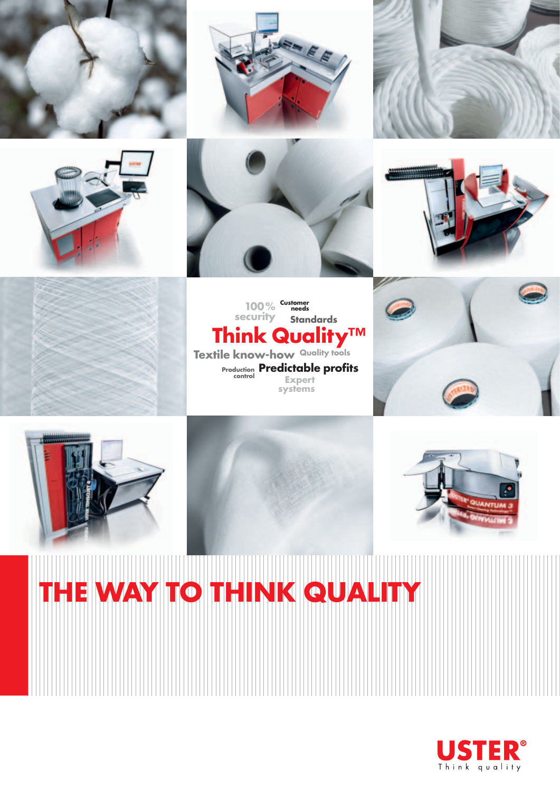





















# **THE WAY TO THINK QUALITY**

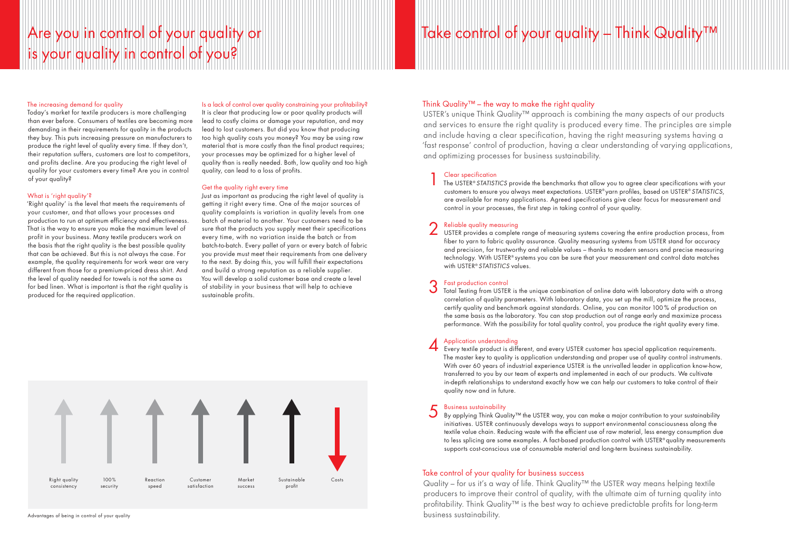## Take control of your quality for business success

Quality – for us it's a way of life. Think Quality™ the USTER way means helping textile producers to improve their control of quality, with the ultimate aim of turning quality into profitability. Think Quality<sup>™</sup> is the best way to achieve predictable profits for long-term business sustainability.

### Clear specification 1

The USTER® *STATISTICS* provide the benchmarks that allow you to agree clear specifications with your customers to ensure you always meet expectations. USTER® yarn profiles, based on USTER® *STATISTICS*, are available for many applications. Agreed specifications give clear focus for measurement and control in your processes, the first step in taking control of your quality.

#### 2 Reliable quality measuring

### 3 Fast production control

USTER provides a complete range of measuring systems covering the entire production process, from fiber to yarn to fabric quality assurance. Quality measuring systems from USTER stand for accuracy and precision, for trustworthy and reliable values – thanks to modern sensors and precise measuring technology. With USTER® systems you can be sure that your measurement and control data matches with USTER® *STATISTICS* values.

### 4 Application understanding

Total Testing from USTER is the unique combination of online data with laboratory data with a strong correlation of quality parameters. With laboratory data, you set up the mill, optimize the process, certify quality and benchmark against standards. Online, you can monitor 100 % of production on the same basis as the laboratory. You can stop production out of range early and maximize process performance. With the possibility for total quality control, you produce the right quality every time.

#### 5 Business sustainability

Every textile product is different, and every USTER customer has special application requirements. The master key to quality is application understanding and proper use of quality control instruments. With over 60 years of industrial experience USTER is the unrivalled leader in application know-how, transferred to you by our team of experts and implemented in each of our products. We cultivate in-depth relationships to understand exactly how we can help our customers to take control of their quality now and in future.

By applying Think Quality™ the USTER way, you can make a major contribution to your sustainability initiatives. USTER continuously develops ways to support environmental consciousness along the textile value chain. Reducing waste with the efficient use of raw material, less energy consumption due to less splicing are some examples. A fact-based production control with USTER® quality measurements supports cost-conscious use of consumable material and long-term business sustainability.

# Are you in control of your quality or is your quality in control of you?

## Think Quality™ – the way to make the right quality

USTER's unique Think Quality™ approach is combining the many aspects of our products and services to ensure the right quality is produced every time. The principles are simple and include having a clear specification, having the right measuring systems having a 'fast response' control of production, having a clear understanding of varying applications, and optimizing processes for business sustainability.

### The increasing demand for quality

Today's market for textile producers is more challenging than ever before. Consumers of textiles are becoming more demanding in their requirements for quality in the products they buy. This puts increasing pressure on manufacturers to produce the right level of quality every time. If they don't, their reputation suffers, customers are lost to competitors, and profits decline. Are you producing the right level of quality for your customers every time? Are you in control of your quality?

### What is 'right quality'?

'Right quality' is the level that meets the requirements of your customer, and that allows your processes and production to run at optimum efficiency and effectiveness. That is the way to ensure you make the maximum level of profit in your business. Many textile producers work on the basis that the right quality is the best possible quality that can be achieved. But this is not always the case. For example, the quality requirements for work wear are very different from those for a premium-priced dress shirt. And the level of quality needed for towels is not the same as for bed linen. What is important is that the right quality is produced for the required application.

#### Is a lack of control over quality constraining your profitability?

It is clear that producing low or poor quality products will lead to costly claims or damage your reputation, and may lead to lost customers. But did you know that producing too high quality costs you money? You may be using raw material that is more costly than the final product requires; your processes may be optimized for a higher level of quality than is really needed. Both, low quality and too high quality, can lead to a loss of profits.

#### Get the quality right every time

Just as important as producing the right level of quality is getting it right every time. One of the major sources of quality complaints is variation in quality levels from one batch of material to another. Your customers need to be sure that the products you supply meet their specifications every time, with no variation inside the batch or from batch-to-batch. Every pallet of yarn or every batch of fabric you provide must meet their requirements from one delivery to the next. By doing this, you will fulfill their expectations and build a strong reputation as a reliable supplier. You will develop a solid customer base and create a level of stability in your business that will help to achieve sustainable profits.

Advantages of being in control of your quality

# Take control of your quality – Think Quality™